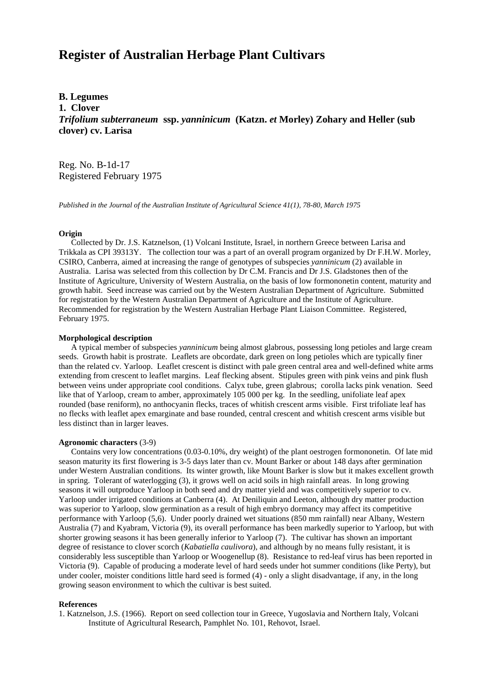# **Register of Australian Herbage Plant Cultivars**

**B. Legumes 1. Clover** *Trifolium subterraneum* **ssp.** *yanninicum* **(Katzn.** *et* **Morley) Zohary and Heller (sub clover) cv. Larisa**

Reg. No. B-1d-17 Registered February 1975

*Published in the Journal of the Australian Institute of Agricultural Science 41(1), 78-80, March 1975*

## **Origin**

 Collected by Dr. J.S. Katznelson, (1) Volcani Institute, Israel, in northern Greece between Larisa and Trikkala as CPI 39313Y. The collection tour was a part of an overall program organized by Dr F.H.W. Morley, CSIRO, Canberra, aimed at increasing the range of genotypes of subspecies *yanninicum* (2) available in Australia. Larisa was selected from this collection by Dr C.M. Francis and Dr J.S. Gladstones then of the Institute of Agriculture, University of Western Australia, on the basis of low formononetin content, maturity and growth habit. Seed increase was carried out by the Western Australian Department of Agriculture. Submitted for registration by the Western Australian Department of Agriculture and the Institute of Agriculture. Recommended for registration by the Western Australian Herbage Plant Liaison Committee. Registered, February 1975.

# **Morphological description**

 A typical member of subspecies *yanninicum* being almost glabrous, possessing long petioles and large cream seeds. Growth habit is prostrate. Leaflets are obcordate, dark green on long petioles which are typically finer than the related cv. Yarloop. Leaflet crescent is distinct with pale green central area and well-defined white arms extending from crescent to leaflet margins. Leaf flecking absent. Stipules green with pink veins and pink flush between veins under appropriate cool conditions. Calyx tube, green glabrous; corolla lacks pink venation. Seed like that of Yarloop, cream to amber, approximately 105 000 per kg. In the seedling, unifoliate leaf apex rounded (base reniform), no anthocyanin flecks, traces of whitish crescent arms visible. First trifoliate leaf has no flecks with leaflet apex emarginate and base rounded, central crescent and whitish crescent arms visible but less distinct than in larger leaves.

#### **Agronomic characters** (3-9)

 Contains very low concentrations (0.03-0.10%, dry weight) of the plant oestrogen formononetin. Of late mid season maturity its first flowering is 3-5 days later than cv. Mount Barker or about 148 days after germination under Western Australian conditions. Its winter growth, like Mount Barker is slow but it makes excellent growth in spring. Tolerant of waterlogging (3), it grows well on acid soils in high rainfall areas. In long growing seasons it will outproduce Yarloop in both seed and dry matter yield and was competitively superior to cv. Yarloop under irrigated conditions at Canberra (4). At Deniliquin and Leeton, although dry matter production was superior to Yarloop, slow germination as a result of high embryo dormancy may affect its competitive performance with Yarloop (5,6). Under poorly drained wet situations (850 mm rainfall) near Albany, Western Australia (7) and Kyabram, Victoria (9), its overall performance has been markedly superior to Yarloop, but with shorter growing seasons it has been generally inferior to Yarloop (7). The cultivar has shown an important degree of resistance to clover scorch (*Kabatiella caulivora*), and although by no means fully resistant, it is considerably less susceptible than Yarloop or Woogenellup (8). Resistance to red-leaf virus has been reported in Victoria (9). Capable of producing a moderate level of hard seeds under hot summer conditions (like Perty), but under cooler, moister conditions little hard seed is formed (4) - only a slight disadvantage, if any, in the long growing season environment to which the cultivar is best suited.

## **References**

1. Katznelson, J.S. (1966). Report on seed collection tour in Greece, Yugoslavia and Northern Italy, Volcani Institute of Agricultural Research, Pamphlet No. 101, Rehovot, Israel.